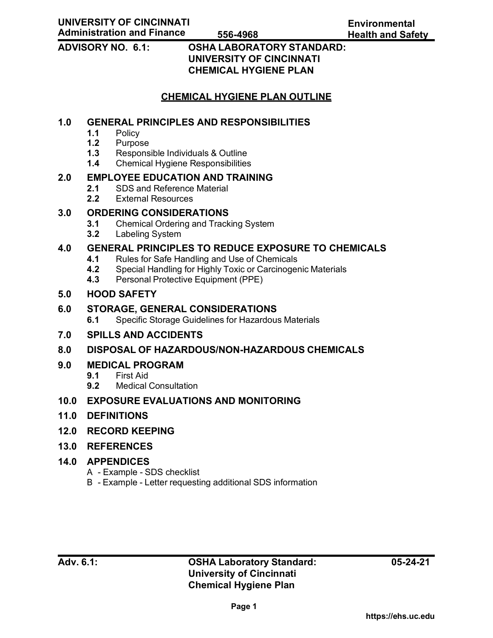# **ADVISORY NO. 6.1: OSHA LABORATORY STANDARD: UNIVERSITY OF CINCINNATI CHEMICAL HYGIENE PLAN**

# **CHEMICAL HYGIENE PLAN OUTLINE**

# **1.0 GENERAL PRINCIPLES AND RESPONSIBILITIES**

- 1.1 Policy<br>**1.2** Purpos
- **1.2** Purpose
- **1.3** Responsible Individuals & Outline
- **1.4** Chemical Hygiene Responsibilities

# **2.0 EMPLOYEE EDUCATION AND TRAINING**

- **2.1** SDS and Reference Material
- **2.2** External Resources

# **3.0 ORDERING CONSIDERATIONS**

- **3.1** Chemical Ordering and Tracking System<br>**3.2** Labeling System
- **3.2** Labeling System

# **4.0 GENERAL PRINCIPLES TO REDUCE EXPOSURE TO CHEMICALS**

- **4.1** Rules for Safe Handling and Use of Chemicals
- **4.2** Special Handling for Highly Toxic or Carcinogenic Materials
- **4.3** Personal Protective Equipment (PPE)

## **5.0 HOOD SAFETY**

#### **6.0 STORAGE, GENERAL CONSIDERATIONS**

**6.1** Specific Storage Guidelines for Hazardous Materials

# **7.0 SPILLS AND ACCIDENTS**

# **8.0 DISPOSAL OF HAZARDOUS/NON-HAZARDOUS CHEMICALS**

# **9.0 MEDICAL PROGRAM**

- **9.1** First Aid
- **9.2** Medical Consultation

# **10.0 EXPOSURE EVALUATIONS AND MONITORING**

- **11.0 DEFINITIONS**
- **12.0 RECORD KEEPING**
- **13.0 REFERENCES**

# **14.0 APPENDICES**

- A Example SDS checklist
- B Example Letter requesting additional SDS information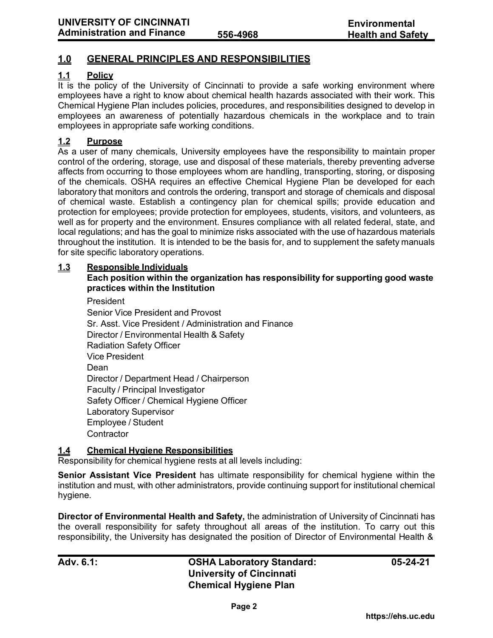# **1.0 GENERAL PRINCIPLES AND RESPONSIBILITIES**

## **1.1 Policy**

It is the policy of the University of Cincinnati to provide a safe working environment where employees have a right to know about chemical health hazards associated with their work. This Chemical Hygiene Plan includes policies, procedures, and responsibilities designed to develop in employees an awareness of potentially hazardous chemicals in the workplace and to train employees in appropriate safe working conditions.

#### **1.2 Purpose**

As a user of many chemicals, University employees have the responsibility to maintain proper control of the ordering, storage, use and disposal of these materials, thereby preventing adverse affects from occurring to those employees whom are handling, transporting, storing, or disposing of the chemicals. OSHA requires an effective Chemical Hygiene Plan be developed for each laboratory that monitors and controls the ordering, transport and storage of chemicals and disposal of chemical waste. Establish a contingency plan for chemical spills; provide education and protection for employees; provide protection for employees, students, visitors, and volunteers, as well as for property and the environment. Ensures compliance with all related federal, state, and local regulations; and has the goal to minimize risks associated with the use of hazardous materials throughout the institution. It is intended to be the basis for, and to supplement the safety manuals for site specific laboratory operations.

#### **1.3 Responsible Individuals**

### **Each position within the organization has responsibility for supporting good waste practices within the Institution**

President

Senior Vice President and Provost Sr. Asst. Vice President / Administration and Finance Director / Environmental Health & Safety Radiation Safety Officer Vice President Dean Director / Department Head / Chairperson Faculty / Principal Investigator Safety Officer / Chemical Hygiene Officer Laboratory Supervisor Employee / Student **Contractor** 

#### **1.4 Chemical Hygiene Responsibilities**

Responsibility for chemical hygiene rests at all levels including:

**Senior Assistant Vice President** has ultimate responsibility for chemical hygiene within the institution and must, with other administrators, provide continuing support for institutional chemical hygiene.

**Director of Environmental Health and Safety,** the administration of University of Cincinnati has the overall responsibility for safety throughout all areas of the institution. To carry out this responsibility, the University has designated the position of Director of Environmental Health &

**Adv. 6.1: OSHA Laboratory Standard: University of Cincinnati Chemical Hygiene Plan**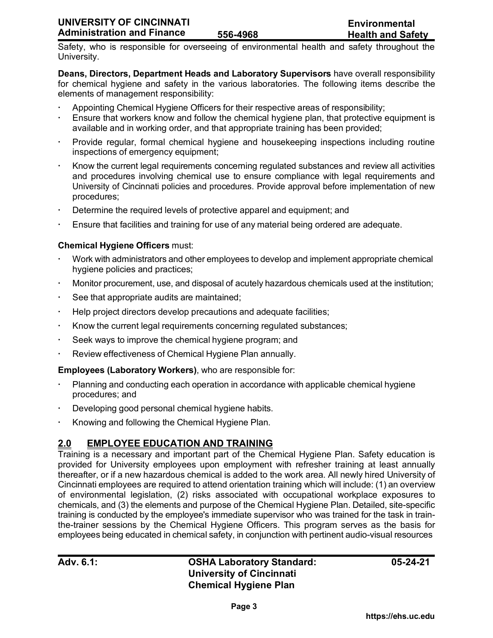Safety, who is responsible for overseeing of environmental health and safety throughout the University.

**Deans, Directors, Department Heads and Laboratory Supervisors** have overall responsibility for chemical hygiene and safety in the various laboratories. The following items describe the elements of management responsibility:

- Appointing Chemical Hygiene Officers for their respective areas of responsibility;
- Ensure that workers know and follow the chemical hygiene plan, that protective equipment is available and in working order, and that appropriate training has been provided;
- Provide regular, formal chemical hygiene and housekeeping inspections including routine inspections of emergency equipment;
- Know the current legal requirements concerning regulated substances and review all activities and procedures involving chemical use to ensure compliance with legal requirements and University of Cincinnati policies and procedures. Provide approval before implementation of new procedures;
- Determine the required levels of protective apparel and equipment; and
- Ensure that facilities and training for use of any material being ordered are adequate.

#### **Chemical Hygiene Officers** must:

- Work with administrators and other employees to develop and implement appropriate chemical hygiene policies and practices;
- Monitor procurement, use, and disposal of acutely hazardous chemicals used at the institution;
- See that appropriate audits are maintained;
- Help project directors develop precautions and adequate facilities;
- Know the current legal requirements concerning regulated substances;
- Seek ways to improve the chemical hygiene program; and
- Review effectiveness of Chemical Hygiene Plan annually.

#### **Employees (Laboratory Workers)**, who are responsible for:

- Planning and conducting each operation in accordance with applicable chemical hygiene procedures; and
- Developing good personal chemical hygiene habits.
- Knowing and following the Chemical Hygiene Plan.

# **2.0 EMPLOYEE EDUCATION AND TRAINING**

Training is a necessary and important part of the Chemical Hygiene Plan. Safety education is provided for University employees upon employment with refresher training at least annually thereafter, or if a new hazardous chemical is added to the work area. All newly hired University of Cincinnati employees are required to attend orientation training which will include: (1) an overview of environmental legislation, (2) risks associated with occupational workplace exposures to chemicals, and (3) the elements and purpose of the Chemical Hygiene Plan. Detailed, site-specific training is conducted by the employee's immediate supervisor who was trained for the task in trainthe-trainer sessions by the Chemical Hygiene Officers. This program serves as the basis for employees being educated in chemical safety, in conjunction with pertinent audio-visual resources

# **Adv. 6.1: OSHA Laboratory Standard: University of Cincinnati Chemical Hygiene Plan**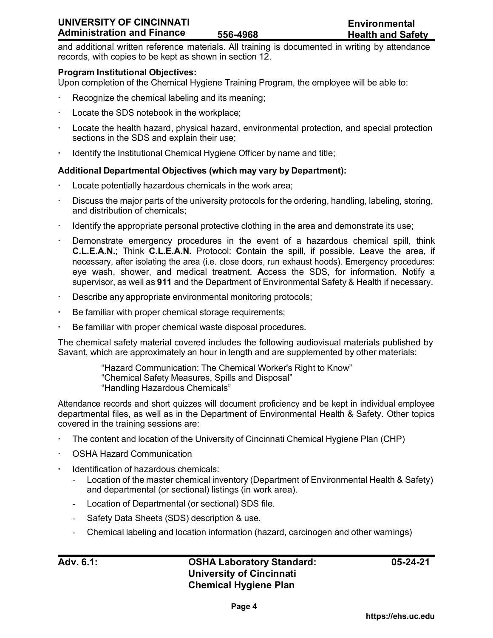**Environmental 556-4968 Health and Safety**

and additional written reference materials. All training is documented in writing by attendance records, with copies to be kept as shown in section 12.

#### **Program Institutional Objectives:**

Upon completion of the Chemical Hygiene Training Program, the employee will be able to:

- Recognize the chemical labeling and its meaning;
- Locate the SDS notebook in the workplace;
- Locate the health hazard, physical hazard, environmental protection, and special protection sections in the SDS and explain their use;
- Identify the Institutional Chemical Hygiene Officer by name and title;

#### **Additional Departmental Objectives (which may vary by Department):**

- Locate potentially hazardous chemicals in the work area;
- Discuss the major parts of the university protocols for the ordering, handling, labeling, storing, and distribution of chemicals;
- Identify the appropriate personal protective clothing in the area and demonstrate its use;
- Demonstrate emergency procedures in the event of a hazardous chemical spill, think **C.L.E.A.N.**; Think **C.L.E.A.N.** Protocol: **C**ontain the spill, if possible. **L**eave the area, if necessary, after isolating the area (i.e. close doors, run exhaust hoods). **E**mergency procedures: eye wash, shower, and medical treatment. **A**ccess the SDS, for information. **N**otify a supervisor, as well as **911** and the Department of Environmental Safety & Health if necessary.
- Describe any appropriate environmental monitoring protocols;
- Be familiar with proper chemical storage requirements;
- Be familiar with proper chemical waste disposal procedures.

The chemical safety material covered includes the following audiovisual materials published by Savant, which are approximately an hour in length and are supplemented by other materials:

> "Hazard Communication: The Chemical Worker's Right to Know" "Chemical Safety Measures, Spills and Disposal" "Handling Hazardous Chemicals"

Attendance records and short quizzes will document proficiency and be kept in individual employee departmental files, as well as in the Department of Environmental Health & Safety. Other topics covered in the training sessions are:

- The content and location of the University of Cincinnati Chemical Hygiene Plan (CHP)
- OSHA Hazard Communication
- Identification of hazardous chemicals:
	- Location of the master chemical inventory (Department of Environmental Health & Safety) and departmental (or sectional) listings (in work area).
	- Location of Departmental (or sectional) SDS file.
	- Safety Data Sheets (SDS) description & use.
	- Chemical labeling and location information (hazard, carcinogen and other warnings)

# **Adv. 6.1: OSHA Laboratory Standard: University of Cincinnati Chemical Hygiene Plan**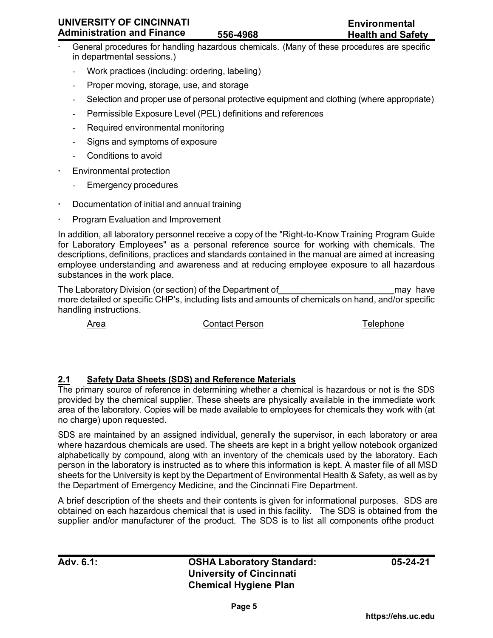### **UNIVERSITY OF CINCINNATI Administration and Finance**

- General procedures for handling hazardous chemicals. (Many of these procedures are specific in departmental sessions.)
	- Work practices (including: ordering, labeling)
	- Proper moving, storage, use, and storage
	- Selection and proper use of personal protective equipment and clothing (where appropriate)
	- Permissible Exposure Level (PEL) definitions and references
	- Required environmental monitoring
	- Signs and symptoms of exposure
	- Conditions to avoid
- Environmental protection
	- Emergency procedures
- Documentation of initial and annual training
- Program Evaluation and Improvement

In addition, all laboratory personnel receive a copy of the "Right-to-Know Training Program Guide for Laboratory Employees" as a personal reference source for working with chemicals. The descriptions, definitions, practices and standards contained in the manual are aimed at increasing employee understanding and awareness and at reducing employee exposure to all hazardous substances in the work place.

The Laboratory Division (or section) of the Department of may have more detailed or specific CHP's, including lists and amounts of chemicals on hand, and/or specific handling instructions.

Area Contact Person Telephone

# **2.1 Safety Data Sheets (SDS) and Reference Materials**

The primary source of reference in determining whether a chemical is hazardous or not is the SDS provided by the chemical supplier. These sheets are physically available in the immediate work area of the laboratory. Copies will be made available to employees for chemicals they work with (at no charge) upon requested.

SDS are maintained by an assigned individual, generally the supervisor, in each laboratory or area where hazardous chemicals are used. The sheets are kept in a bright yellow notebook organized alphabetically by compound, along with an inventory of the chemicals used by the laboratory. Each person in the laboratory is instructed as to where this information is kept. A master file of all MSD sheets for the University is kept by the Department of Environmental Health & Safety, as well as by the Department of Emergency Medicine, and the Cincinnati Fire Department.

A brief description of the sheets and their contents is given for informational purposes. SDS are obtained on each hazardous chemical that is used in this facility. The SDS is obtained from the supplier and/or manufacturer of the product. The SDS is to list all components ofthe product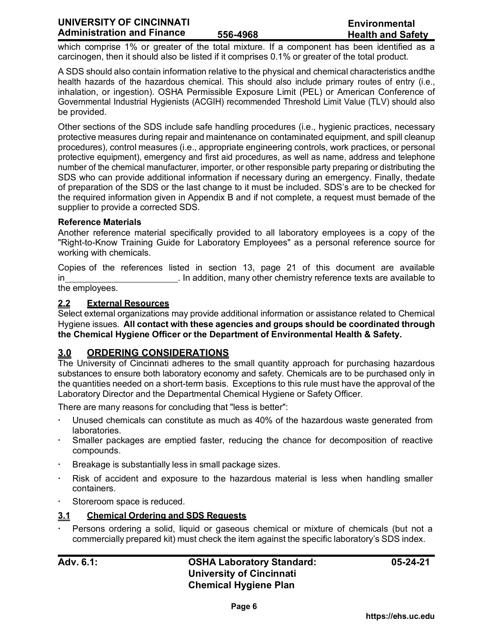which comprise 1% or greater of the total mixture. If a component has been identified as a carcinogen, then it should also be listed if it comprises 0.1% or greater of the total product.

A SDS should also contain information relative to the physical and chemical characteristics andthe health hazards of the hazardous chemical. This should also include primary routes of entry (i.e., inhalation, or ingestion). OSHA Permissible Exposure Limit (PEL) or American Conference of Governmental Industrial Hygienists (ACGIH) recommended Threshold Limit Value (TLV) should also be provided.

Other sections of the SDS include safe handling procedures (i.e., hygienic practices, necessary protective measures during repair and maintenance on contaminated equipment, and spill cleanup procedures), control measures (i.e., appropriate engineering controls, work practices, or personal protective equipment), emergency and first aid procedures, as well as name, address and telephone number of the chemical manufacturer, importer, or other responsible party preparing or distributing the SDS who can provide additional information if necessary during an emergency. Finally, thedate of preparation of the SDS or the last change to it must be included. SDS's are to be checked for the required information given in Appendix B and if not complete, a request must bemade of the supplier to provide a corrected SDS.

#### **Reference Materials**

Another reference material specifically provided to all laboratory employees is a copy of the "Right-to-Know Training Guide for Laboratory Employees" as a personal reference source for working with chemicals.

Copies of the references listed in section 13, page 21 of this document are available in **Example 20** in addition, many other chemistry reference texts are available to the employees.

#### **2.2 External Resources**

Select external organizations may provide additional information or assistance related to Chemical Hygiene issues. **All contact with these agencies and groups should be coordinated through the Chemical Hygiene Officer or the Department of Environmental Health & Safety.**

# **3.0 ORDERING CONSIDERATIONS**

The University of Cincinnati adheres to the small quantity approach for purchasing hazardous substances to ensure both laboratory economy and safety. Chemicals are to be purchased only in the quantities needed on a short-term basis. Exceptions to this rule must have the approval of the Laboratory Director and the Departmental Chemical Hygiene or Safety Officer.

There are many reasons for concluding that "less is better":

- Unused chemicals can constitute as much as 40% of the hazardous waste generated from laboratories.
- Smaller packages are emptied faster, reducing the chance for decomposition of reactive compounds.
- Breakage is substantially less in small package sizes.
- Risk of accident and exposure to the hazardous material is less when handling smaller containers.
- Storeroom space is reduced.

### **3.1 Chemical Ordering and SDS Requests**

 Persons ordering a solid, liquid or gaseous chemical or mixture of chemicals (but not a commercially prepared kit) must check the item against the specific laboratory's SDS index.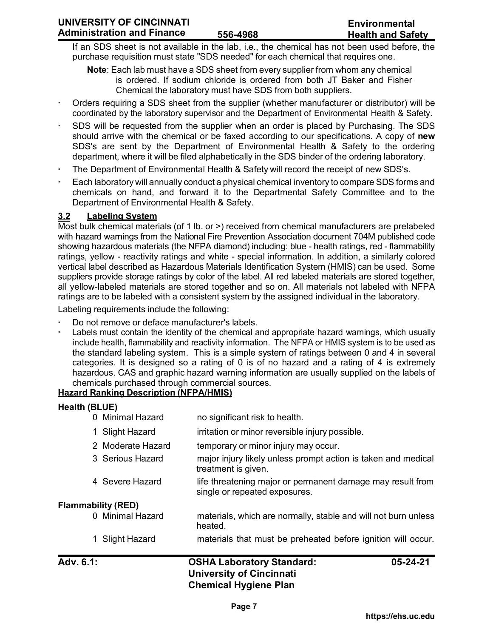If an SDS sheet is not available in the lab, i.e., the chemical has not been used before, the purchase requisition must state "SDS needed" for each chemical that requires one.

**Note**: Each lab must have a SDS sheet from every supplier from whom any chemical is ordered. If sodium chloride is ordered from both JT Baker and Fisher Chemical the laboratory must have SDS from both suppliers.

- Orders requiring a SDS sheet from the supplier (whether manufacturer or distributor) will be coordinated by the laboratory supervisor and the Department of Environmental Health & Safety.
- SDS will be requested from the supplier when an order is placed by Purchasing. The SDS should arrive with the chemical or be faxed according to our specifications. A copy of **new** SDS's are sent by the Department of Environmental Health & Safety to the ordering department, where it will be filed alphabetically in the SDS binder of the ordering laboratory.
- The Department of Environmental Health & Safety will record the receipt of new SDS's.
- Each laboratory will annually conduct a physical chemical inventory to compare SDS forms and chemicals on hand, and forward it to the Departmental Safety Committee and to the Department of Environmental Health & Safety.

# **3.2 Labeling System**

Most bulk chemical materials (of 1 lb. or >) received from chemical manufacturers are prelabeled with hazard warnings from the National Fire Prevention Association document 704M published code showing hazardous materials (the NFPA diamond) including: blue - health ratings, red - flammability ratings, yellow - reactivity ratings and white - special information. In addition, a similarly colored vertical label described as Hazardous Materials Identification System (HMIS) can be used. Some suppliers provide storage ratings by color of the label. All red labeled materials are stored together, all yellow-labeled materials are stored together and so on. All materials not labeled with NFPA ratings are to be labeled with a consistent system by the assigned individual in the laboratory.

Labeling requirements include the following:

- Do not remove or deface manufacturer's labels.
- Labels must contain the identity of the chemical and appropriate hazard warnings, which usually include health, flammability and reactivity information. The NFPA or HMIS system is to be used as the standard labeling system. This is a simple system of ratings between 0 and 4 in several categories. It is designed so a rating of 0 is of no hazard and a rating of 4 is extremely hazardous. CAS and graphic hazard warning information are usually supplied on the labels of chemicals purchased through commercial sources.

# **Hazard Ranking Description (NFPA/HMIS)**

#### **Health (BLUE)**

- 0 Minimal Hazard no significant risk to health.
- 1 Slight Hazard irritation or minor reversible injury possible.
- 2 Moderate Hazard temporary or minor injury may occur.
- 3 Serious Hazard major injury likely unless prompt action is taken and medical treatment is given.
- 4 Severe Hazard life threatening major or permanent damage may result from single or repeated exposures.

# **Flammability (RED)**

- 0 Minimal Hazard materials, which are normally, stable and will not burn unless heated.
- 1 Slight Hazard materials that must be preheated before ignition will occur.

# **Adv. 6.1: OSHA Laboratory Standard: University of Cincinnati Chemical Hygiene Plan**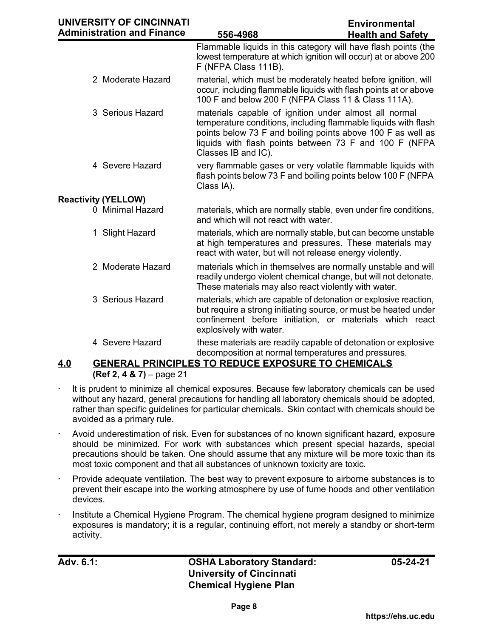| UNIVERSITY OF CINCINNATI<br><b>Administration and Finance</b> | 556-4968                                                                                                                                                                                                                                                                | <b>Environmental</b><br><b>Health and Safety</b> |
|---------------------------------------------------------------|-------------------------------------------------------------------------------------------------------------------------------------------------------------------------------------------------------------------------------------------------------------------------|--------------------------------------------------|
|                                                               | Flammable liquids in this category will have flash points (the<br>lowest temperature at which ignition will occur) at or above 200<br>F (NFPA Class 111B).                                                                                                              |                                                  |
| 2 Moderate Hazard                                             | material, which must be moderately heated before ignition, will<br>occur, including flammable liquids with flash points at or above<br>100 F and below 200 F (NFPA Class 11 & Class 111A).                                                                              |                                                  |
| 3 Serious Hazard                                              | materials capable of ignition under almost all normal<br>temperature conditions, including flammable liquids with flash<br>points below 73 F and boiling points above 100 F as well as<br>liquids with flash points between 73 F and 100 F (NFPA<br>Classes IB and IC). |                                                  |
| 4 Severe Hazard                                               | very flammable gases or very volatile flammable liquids with<br>flash points below 73 F and boiling points below 100 F (NFPA)<br>Class IA).                                                                                                                             |                                                  |
| <b>Reactivity (YELLOW)</b>                                    |                                                                                                                                                                                                                                                                         |                                                  |
| 0 Minimal Hazard                                              | materials, which are normally stable, even under fire conditions,<br>and which will not react with water.                                                                                                                                                               |                                                  |
| 1 Slight Hazard                                               | materials, which are normally stable, but can become unstable<br>at high temperatures and pressures. These materials may<br>react with water, but will not release energy violently.                                                                                    |                                                  |
| 2 Moderate Hazard                                             | materials which in themselves are normally unstable and will<br>readily undergo violent chemical change, but will not detonate.<br>These materials may also react violently with water.                                                                                 |                                                  |
| 3 Serious Hazard                                              | materials, which are capable of detonation or explosive reaction,<br>but require a strong initiating source, or must be heated under<br>confinement before initiation, or materials which react<br>explosively with water.                                              |                                                  |
| 4 Severe Hazard                                               | these materials are readily capable of detonation or explosive<br>decomposition at normal temperatures and pressures.                                                                                                                                                   |                                                  |

# **4.0 GENERAL PRINCIPLES TO REDUCE EXPOSURE TO CHEMICALS**

- **(Ref 2, 4 & 7)** page 21
- It is prudent to minimize all chemical exposures. Because few laboratory chemicals can be used without any hazard, general precautions for handling all laboratory chemicals should be adopted, rather than specific guidelines for particular chemicals. Skin contact with chemicals should be avoided as a primary rule.
- Avoid underestimation of risk. Even for substances of no known significant hazard, exposure should be minimized. For work with substances which present special hazards, special precautions should be taken. One should assume that any mixture will be more toxic than its most toxic component and that all substances of unknown toxicity are toxic.
- Provide adequate ventilation. The best way to prevent exposure to airborne substances is to prevent their escape into the working atmosphere by use of fume hoods and other ventilation devices.
- Institute a Chemical Hygiene Program. The chemical hygiene program designed to minimize exposures is mandatory; it is a regular, continuing effort, not merely a standby or short-term activity.

**Adv. 6.1: OSHA Laboratory Standard: University of Cincinnati Chemical Hygiene Plan**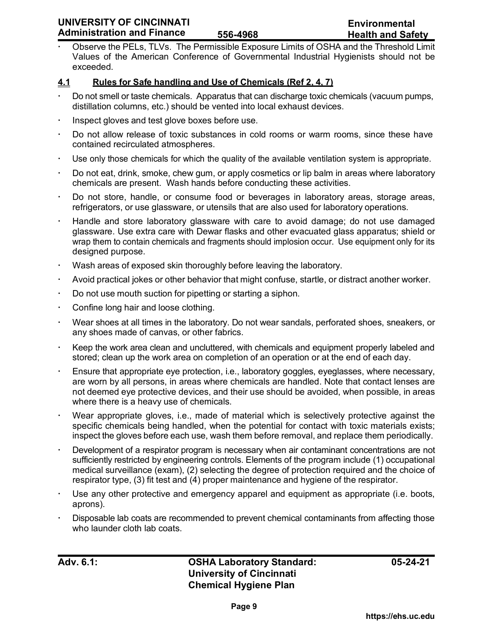# **UNIVERSITY OF CINCINNATI Administration and Finance**

 Observe the PELs, TLVs. The Permissible Exposure Limits of OSHA and the Threshold Limit Values of the American Conference of Governmental Industrial Hygienists should not be exceeded.

# **4.1 Rules for Safe handling and Use of Chemicals (Ref 2, 4, 7)**

- Do not smell or taste chemicals. Apparatus that can discharge toxic chemicals (vacuum pumps, distillation columns, etc.) should be vented into local exhaust devices.
- Inspect gloves and test glove boxes before use.
- Do not allow release of toxic substances in cold rooms or warm rooms, since these have contained recirculated atmospheres.
- Use only those chemicals for which the quality of the available ventilation system is appropriate.
- Do not eat, drink, smoke, chew gum, or apply cosmetics or lip balm in areas where laboratory chemicals are present. Wash hands before conducting these activities.
- Do not store, handle, or consume food or beverages in laboratory areas, storage areas, refrigerators, or use glassware, or utensils that are also used for laboratory operations.
- Handle and store laboratory glassware with care to avoid damage; do not use damaged glassware. Use extra care with Dewar flasks and other evacuated glass apparatus; shield or wrap them to contain chemicals and fragments should implosion occur. Use equipment only for its designed purpose.
- Wash areas of exposed skin thoroughly before leaving the laboratory.
- Avoid practical jokes or other behavior that might confuse, startle, or distract another worker.
- Do not use mouth suction for pipetting or starting a siphon.
- Confine long hair and loose clothing.
- Wear shoes at all times in the laboratory. Do not wear sandals, perforated shoes, sneakers, or any shoes made of canvas, or other fabrics.
- Keep the work area clean and uncluttered, with chemicals and equipment properly labeled and stored; clean up the work area on completion of an operation or at the end of each day.
- Ensure that appropriate eye protection, i.e., laboratory goggles, eyeglasses, where necessary, are worn by all persons, in areas where chemicals are handled. Note that contact lenses are not deemed eye protective devices, and their use should be avoided, when possible, in areas where there is a heavy use of chemicals.
- Wear appropriate gloves, i.e., made of material which is selectively protective against the specific chemicals being handled, when the potential for contact with toxic materials exists; inspect the gloves before each use, wash them before removal, and replace them periodically.
- Development of a respirator program is necessary when air contaminant concentrations are not sufficiently restricted by engineering controls. Elements of the program include (1) occupational medical surveillance (exam), (2) selecting the degree of protection required and the choice of respirator type, (3) fit test and (4) proper maintenance and hygiene of the respirator.
- Use any other protective and emergency apparel and equipment as appropriate (i.e. boots, aprons).
- Disposable lab coats are recommended to prevent chemical contaminants from affecting those who launder cloth lab coats.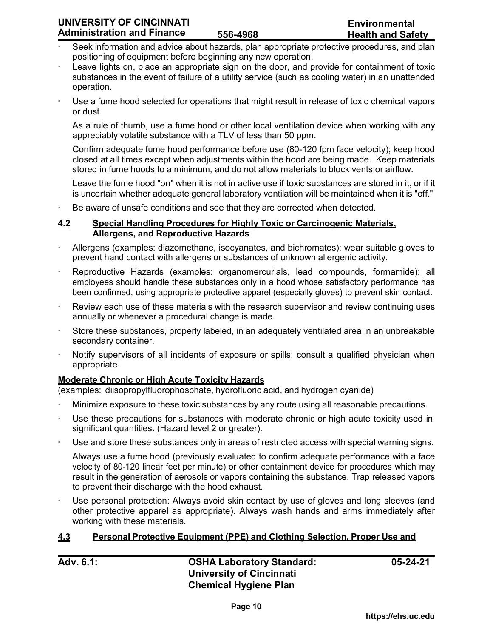- Seek information and advice about hazards, plan appropriate protective procedures, and plan positioning of equipment before beginning any new operation.
- Leave lights on, place an appropriate sign on the door, and provide for containment of toxic substances in the event of failure of a utility service (such as cooling water) in an unattended operation.
- Use a fume hood selected for operations that might result in release of toxic chemical vapors or dust.

As a rule of thumb, use a fume hood or other local ventilation device when working with any appreciably volatile substance with a TLV of less than 50 ppm.

Confirm adequate fume hood performance before use (80-120 fpm face velocity); keep hood closed at all times except when adjustments within the hood are being made. Keep materials stored in fume hoods to a minimum, and do not allow materials to block vents or airflow.

Leave the fume hood "on" when it is not in active use if toxic substances are stored in it, or if it is uncertain whether adequate general laboratory ventilation will be maintained when it is "off."

Be aware of unsafe conditions and see that they are corrected when detected.

#### **4.2 Special Handling Procedures for Highly Toxic or Carcinogenic Materials, Allergens, and Reproductive Hazards**

- Allergens (examples: diazomethane, isocyanates, and bichromates): wear suitable gloves to prevent hand contact with allergens or substances of unknown allergenic activity.
- Reproductive Hazards (examples: organomercurials, lead compounds, formamide): all employees should handle these substances only in a hood whose satisfactory performance has been confirmed, using appropriate protective apparel (especially gloves) to prevent skin contact.
- Review each use of these materials with the research supervisor and review continuing uses annually or whenever a procedural change is made.
- Store these substances, properly labeled, in an adequately ventilated area in an unbreakable secondary container.
- Notify supervisors of all incidents of exposure or spills; consult a qualified physician when appropriate.

#### **Moderate Chronic or High Acute Toxicity Hazards**

(examples: diisopropylfluorophosphate, hydrofluoric acid, and hydrogen cyanide)

- Minimize exposure to these toxic substances by any route using all reasonable precautions.
- Use these precautions for substances with moderate chronic or high acute toxicity used in significant quantities. (Hazard level 2 or greater).
- Use and store these substances only in areas of restricted access with special warning signs.

Always use a fume hood (previously evaluated to confirm adequate performance with a face velocity of 80-120 linear feet per minute) or other containment device for procedures which may result in the generation of aerosols or vapors containing the substance. Trap released vapors to prevent their discharge with the hood exhaust.

 Use personal protection: Always avoid skin contact by use of gloves and long sleeves (and other protective apparel as appropriate). Always wash hands and arms immediately after working with these materials.

#### **4.3 Personal Protective Equipment (PPE) and Clothing Selection, Proper Use and**

**Adv. 6.1: OSHA Laboratory Standard: University of Cincinnati Chemical Hygiene Plan**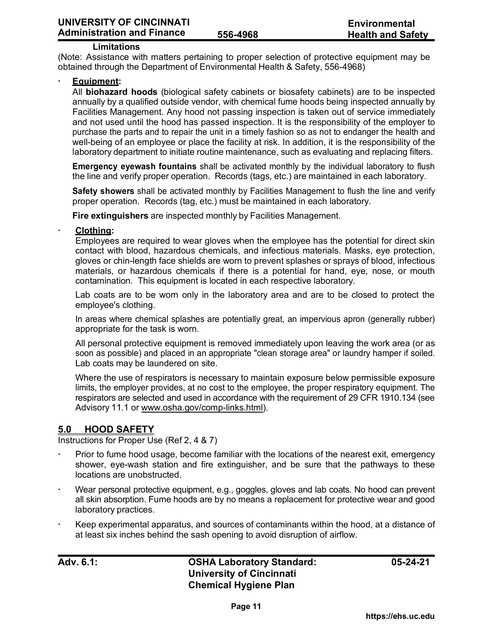#### **Limitations**

(Note: Assistance with matters pertaining to proper selection of protective equipment may be obtained through the Department of Environmental Health & Safety, 556-4968)

#### **Equipment:**

All **biohazard hoods** (biological safety cabinets or biosafety cabinets) are to be inspected annually by a qualified outside vendor, with chemical fume hoods being inspected annually by Facilities Management. Any hood not passing inspection is taken out of service immediately and not used until the hood has passed inspection. It is the responsibility of the employer to purchase the parts and to repair the unit in a timely fashion so as not to endanger the health and well-being of an employee or place the facility at risk. In addition, it is the responsibility of the laboratory department to initiate routine maintenance, such as evaluating and replacing filters.

**Emergency eyewash fountains** shall be activated monthly by the individual laboratory to flush the line and verify proper operation. Records (tags, etc.) are maintained in each laboratory.

**Safety showers** shall be activated monthly by Facilities Management to flush the line and verify proper operation. Records (tag, etc.) must be maintained in each laboratory.

**Fire extinguishers** are inspected monthly by Facilities Management.

### **Clothing:**

Employees are required to wear gloves when the employee has the potential for direct skin contact with blood, hazardous chemicals, and infectious materials. Masks, eye protection, gloves or chin-length face shields are worn to prevent splashes or sprays of blood, infectious materials, or hazardous chemicals if there is a potential for hand, eye, nose, or mouth contamination. This equipment is located in each respective laboratory.

Lab coats are to be worn only in the laboratory area and are to be closed to protect the employee's clothing.

In areas where chemical splashes are potentially great, an impervious apron (generally rubber) appropriate for the task is worn.

All personal protective equipment is removed immediately upon leaving the work area (or as soon as possible) and placed in an appropriate "clean storage area" or laundry hamper if soiled. Lab coats may be laundered on site.

Where the use of respirators is necessary to maintain exposure below permissible exposure limits, the employer provides, at no cost to the employee, the proper respiratory equipment. The respirators are selected and used in accordance with the requirement of 29 CFR 1910.134 (see Advisory 11.1 or [www.osha.gov/comp-links.html\).](http://www.osha.gov/comp-links.html)

#### **5.0 HOOD SAFETY**

Instructions for Proper Use (Ref 2, 4 & 7)

- Prior to fume hood usage, become familiar with the locations of the nearest exit, emergency shower, eye-wash station and fire extinguisher, and be sure that the pathways to these locations are unobstructed.
- Wear personal protective equipment, e.g., goggles, gloves and lab coats. No hood can prevent all skin absorption. Fume hoods are by no means a replacement for protective wear and good laboratory practices.
- Keep experimental apparatus, and sources of contaminants within the hood, at a distance of at least six inches behind the sash opening to avoid disruption of airflow.

**Adv. 6.1: OSHA Laboratory Standard: University of Cincinnati Chemical Hygiene Plan**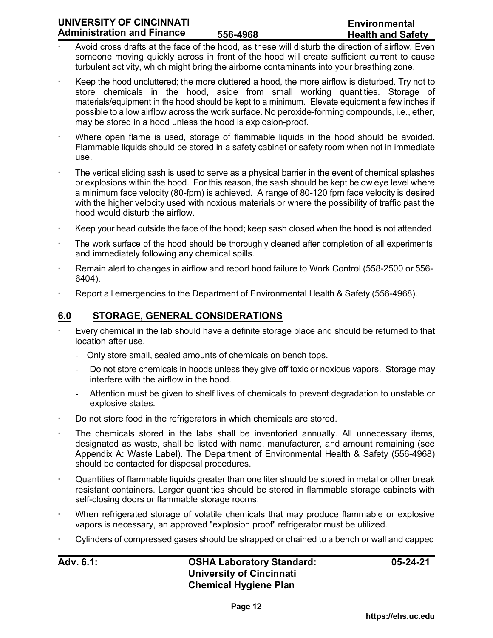- Avoid cross drafts at the face of the hood, as these will disturb the direction of airflow. Even someone moving quickly across in front of the hood will create sufficient current to cause turbulent activity, which might bring the airborne contaminants into your breathing zone.
- Keep the hood uncluttered; the more cluttered a hood, the more airflow is disturbed. Try not to store chemicals in the hood, aside from small working quantities. Storage of materials/equipment in the hood should be kept to a minimum. Elevate equipment a few inches if possible to allow airflow across the work surface. No peroxide-forming compounds, i.e., ether, may be stored in a hood unless the hood is explosion-proof.
- Where open flame is used, storage of flammable liquids in the hood should be avoided. Flammable liquids should be stored in a safety cabinet or safety room when not in immediate use.
- The vertical sliding sash is used to serve as a physical barrier in the event of chemical splashes or explosions within the hood. For this reason, the sash should be kept below eye level where a minimum face velocity (80-fpm) is achieved. A range of 80-120 fpm face velocity is desired with the higher velocity used with noxious materials or where the possibility of traffic past the hood would disturb the airflow.
- Keep your head outside the face of the hood; keep sash closed when the hood is not attended.
- The work surface of the hood should be thoroughly cleaned after completion of all experiments and immediately following any chemical spills.
- Remain alert to changes in airflow and report hood failure to Work Control (558-2500 or 556- 6404).
- Report all emergencies to the Department of Environmental Health & Safety (556-4968).

# **6.0 STORAGE, GENERAL CONSIDERATIONS**

- Every chemical in the lab should have a definite storage place and should be returned to that location after use.
	- Only store small, sealed amounts of chemicals on bench tops.
	- Do not store chemicals in hoods unless they give off toxic or noxious vapors. Storage may interfere with the airflow in the hood.
	- Attention must be given to shelf lives of chemicals to prevent degradation to unstable or explosive states.
- Do not store food in the refrigerators in which chemicals are stored.
- The chemicals stored in the labs shall be inventoried annually. All unnecessary items, designated as waste, shall be listed with name, manufacturer, and amount remaining (see Appendix A: Waste Label). The Department of Environmental Health & Safety (556-4968) should be contacted for disposal procedures.
- Quantities of flammable liquids greater than one liter should be stored in metal or other break resistant containers. Larger quantities should be stored in flammable storage cabinets with self-closing doors or flammable storage rooms.
- When refrigerated storage of volatile chemicals that may produce flammable or explosive vapors is necessary, an approved "explosion proof" refrigerator must be utilized.
- Cylinders of compressed gases should be strapped or chained to a bench or wall and capped

**Adv. 6.1: OSHA Laboratory Standard: University of Cincinnati Chemical Hygiene Plan**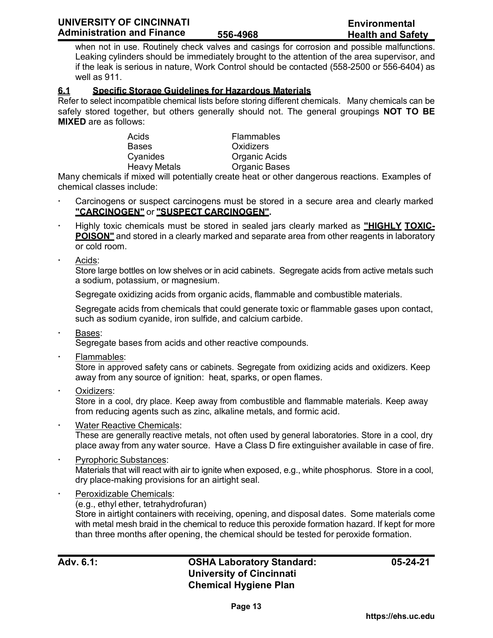when not in use. Routinely check valves and casings for corrosion and possible malfunctions. Leaking cylinders should be immediately brought to the attention of the area supervisor, and if the leak is serious in nature, Work Control should be contacted (558-2500 or 556-6404) as well as 911.

## **6.1 Specific Storage Guidelines for Hazardous Materials**

Refer to select incompatible chemical lists before storing different chemicals. Many chemicals can be safely stored together, but others generally should not. The general groupings **NOT TO BE MIXED** are as follows:

> Acids Flammables Bases Oxidizers Cyanides Organic Acids

Heavy Metals **Organic Bases** 

Many chemicals if mixed will potentially create heat or other dangerous reactions. Examples of chemical classes include:

- Carcinogens or suspect carcinogens must be stored in a secure area and clearly marked **"CARCINOGEN"** or **"SUSPECT CARCINOGEN".**
- Highly toxic chemicals must be stored in sealed jars clearly marked as **"HIGHLY TOXIC-POISON"** and stored in a clearly marked and separate area from other reagents in laboratory or cold room.
- Acids:

Store large bottles on low shelves or in acid cabinets. Segregate acids from active metals such a sodium, potassium, or magnesium.

Segregate oxidizing acids from organic acids, flammable and combustible materials.

Segregate acids from chemicals that could generate toxic or flammable gases upon contact, such as sodium cyanide, iron sulfide, and calcium carbide.

Bases:

Segregate bases from acids and other reactive compounds.

Flammables:

Store in approved safety cans or cabinets. Segregate from oxidizing acids and oxidizers. Keep away from any source of ignition: heat, sparks, or open flames.

Oxidizers:

Store in a cool, dry place. Keep away from combustible and flammable materials. Keep away from reducing agents such as zinc, alkaline metals, and formic acid.

- Water Reactive Chemicals: These are generally reactive metals, not often used by general laboratories. Store in a cool, dry place away from any water source. Have a Class D fire extinguisher available in case of fire.
- Pyrophoric Substances: Materials that will react with air to ignite when exposed, e.g., white phosphorus. Store in a cool, dry place-making provisions for an airtight seal.
- Peroxidizable Chemicals:
	- (e.g., ethyl ether, tetrahydrofuran)

Store in airtight containers with receiving, opening, and disposal dates. Some materials come with metal mesh braid in the chemical to reduce this peroxide formation hazard. If kept for more than three months after opening, the chemical should be tested for peroxide formation.

# **Adv. 6.1: OSHA Laboratory Standard: University of Cincinnati Chemical Hygiene Plan**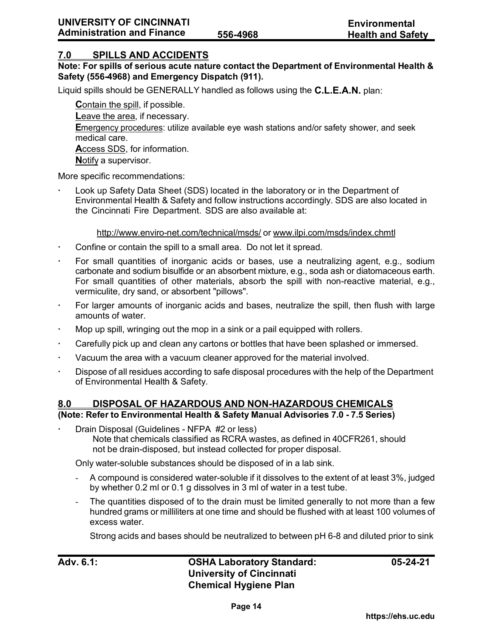## **7.0 SPILLS AND ACCIDENTS**

### **Note: For spills of serious acute nature contact the Department of Environmental Health & Safety (556-4968) and Emergency Dispatch (911).**

Liquid spills should be GENERALLY handled as follows using the **C.L.E.A.N.** plan:

**C**ontain the spill, if possible. **L**eave the area, if necessary. **E**mergency procedures: utilize available eye wash stations and/or safety shower, and seek medical care. **A**ccess SDS, for information. **N**otify a supervisor.

More specific recommendations:

 Look up Safety Data Sheet (SDS) located in the laboratory or in the Department of Environmental Health & Safety and follow instructions accordingly. SDS are also located in the Cincinnati Fire Department. SDS are also available at:

#### [http://www.enviro-net.com/technical/msds/](http://www.enviro-net.com/) or [www.ilpi.com/msds/index.chmtl](http://www.ilpi.com/msds/index.hmtl)

- Confine or contain the spill to a small area. Do not let it spread.
- For small quantities of inorganic acids or bases, use a neutralizing agent, e.g., sodium carbonate and sodium bisulfide or an absorbent mixture, e.g., soda ash or diatomaceous earth. For small quantities of other materials, absorb the spill with non-reactive material, e.g., vermiculite, dry sand, or absorbent "pillows".
- For larger amounts of inorganic acids and bases, neutralize the spill, then flush with large amounts of water.
- Mop up spill, wringing out the mop in a sink or a pail equipped with rollers.
- Carefully pick up and clean any cartons or bottles that have been splashed or immersed.
- Vacuum the area with a vacuum cleaner approved for the material involved.
- Dispose of all residues according to safe disposal procedures with the help of the Department of Environmental Health & Safety.

#### **8.0 DISPOSAL OF HAZARDOUS AND NON-HAZARDOUS CHEMICALS (Note: Refer to Environmental Health & Safety Manual Advisories 7.0 - 7.5 Series)**

 Drain Disposal (Guidelines - NFPA #2 or less) Note that chemicals classified as RCRA wastes, as defined in 40CFR261, should not be drain-disposed, but instead collected for proper disposal.

Only water-soluble substances should be disposed of in a lab sink.

- A compound is considered water-soluble if it dissolves to the extent of at least 3%, judged by whether 0.2 ml or 0.1 g dissolves in 3 ml of water in a test tube.
- The quantities disposed of to the drain must be limited generally to not more than a few hundred grams or milliliters at one time and should be flushed with at least 100 volumes of excess water.

Strong acids and bases should be neutralized to between pH 6-8 and diluted prior to sink

# **Adv. 6.1: OSHA Laboratory Standard: University of Cincinnati Chemical Hygiene Plan**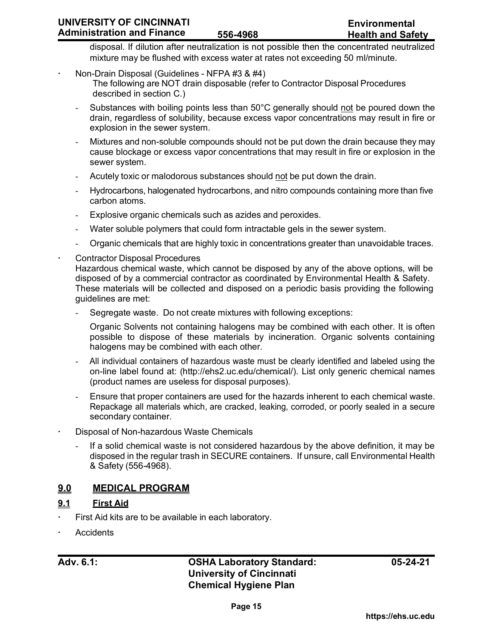disposal. If dilution after neutralization is not possible then the concentrated neutralized mixture may be flushed with excess water at rates not exceeding 50 ml/minute.

- Non-Drain Disposal (Guidelines NFPA #3 & #4) The following are NOT drain disposable (refer to Contractor Disposal Procedures described in section C.)
	- Substances with boiling points less than 50°C generally should not be poured down the drain, regardless of solubility, because excess vapor concentrations may result in fire or explosion in the sewer system.
	- Mixtures and non-soluble compounds should not be put down the drain because they may cause blockage or excess vapor concentrations that may result in fire or explosion in the sewer system.
	- Acutely toxic or malodorous substances should not be put down the drain.
	- Hydrocarbons, halogenated hydrocarbons, and nitro compounds containing more than five carbon atoms.
	- Explosive organic chemicals such as azides and peroxides.
	- Water soluble polymers that could form intractable gels in the sewer system.
	- Organic chemicals that are highly toxic in concentrations greater than unavoidable traces.
- Contractor Disposal Procedures

Hazardous chemical waste, which cannot be disposed by any of the above options, will be disposed of by a commercial contractor as coordinated by Environmental Health & Safety. These materials will be collected and disposed on a periodic basis providing the following guidelines are met:

Segregate waste. Do not create mixtures with following exceptions:

Organic Solvents not containing halogens may be combined with each other. It is often possible to dispose of these materials by incineration. Organic solvents containing halogens may be combined with each other.

- All individual containers of hazardous waste must be clearly identified and labeled using the on-line label found at: [\(http://ehs2.uc.edu/chemical/\).](http://ehs2.uc.edu/chemical/)) List only generic chemical names (product names are useless for disposal purposes).
- Ensure that proper containers are used for the hazards inherent to each chemical waste. Repackage all materials which, are cracked, leaking, corroded, or poorly sealed in a secure secondary container.
- Disposal of Non-hazardous Waste Chemicals
	- If a solid chemical waste is not considered hazardous by the above definition, it may be disposed in the regular trash in SECURE containers. If unsure, call Environmental Health & Safety (556-4968).

# **9.0 MEDICAL PROGRAM**

# **9.1 First Aid**

- First Aid kits are to be available in each laboratory.
- **Accidents**

# **Adv. 6.1: OSHA Laboratory Standard: University of Cincinnati Chemical Hygiene Plan**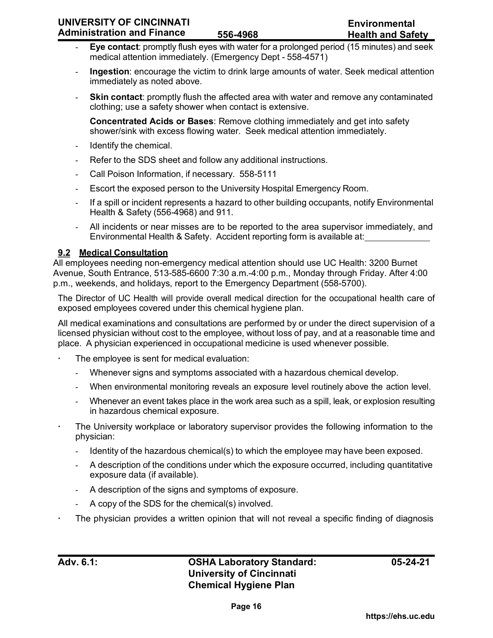| UNIVERSITY OF CINCINNATI          |          | Environmental            |
|-----------------------------------|----------|--------------------------|
| <b>Administration and Finance</b> | 556-4968 | <b>Health and Safety</b> |

- **Eye contact**: promptly flush eyes with water for a prolonged period (15 minutes) and seek medical attention immediately. (Emergency Dept - 558-4571)
- **Ingestion**: encourage the victim to drink large amounts of water. Seek medical attention immediately as noted above.
- **Skin contact:** promptly flush the affected area with water and remove any contaminated clothing; use a safety shower when contact is extensive.

**Concentrated Acids or Bases**: Remove clothing immediately and get into safety shower/sink with excess flowing water. Seek medical attention immediately.

- Identify the chemical.
- Refer to the SDS sheet and follow any additional instructions.
- Call Poison Information, if necessary. 558-5111
- Escort the exposed person to the University Hospital Emergency Room.
- If a spill or incident represents a hazard to other building occupants, notify Environmental Health & Safety (556-4968) and 911.
- All incidents or near misses are to be reported to the area supervisor immediately, and Environmental Health & Safety. Accident reporting form is available at:

# **9.2 Medical Consultation**

All employees needing non-emergency medical attention should use UC Health: 3200 Burnet Avenue, South Entrance, 513-585-6600 7:30 a.m.-4:00 p.m., Monday through Friday. After 4:00 p.m., weekends, and holidays, report to the Emergency Department (558-5700).

The Director of UC Health will provide overall medical direction for the occupational health care of exposed employees covered under this chemical hygiene plan.

All medical examinations and consultations are performed by or under the direct supervision of a licensed physician without cost to the employee, without loss of pay, and at a reasonable time and place. A physician experienced in occupational medicine is used whenever possible.

- The employee is sent for medical evaluation:
	- Whenever signs and symptoms associated with a hazardous chemical develop.
	- When environmental monitoring reveals an exposure level routinely above the action level.
	- Whenever an event takes place in the work area such as a spill, leak, or explosion resulting in hazardous chemical exposure.
- The University workplace or laboratory supervisor provides the following information to the physician:
	- Identity of the hazardous chemical(s) to which the employee may have been exposed.
	- A description of the conditions under which the exposure occurred, including quantitative exposure data (if available).
	- A description of the signs and symptoms of exposure.
	- A copy of the SDS for the chemical(s) involved.
- The physician provides a written opinion that will not reveal a specific finding of diagnosis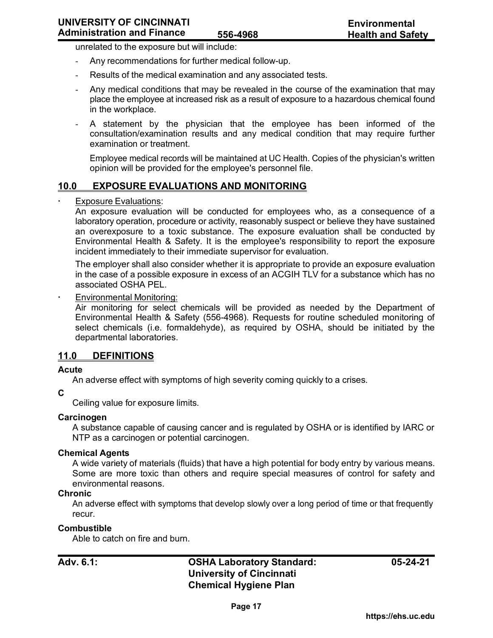unrelated to the exposure but will include:

- Any recommendations for further medical follow-up.
- Results of the medical examination and any associated tests.
- Any medical conditions that may be revealed in the course of the examination that may place the employee at increased risk as a result of exposure to a hazardous chemical found in the workplace.
- A statement by the physician that the employee has been informed of the consultation/examination results and any medical condition that may require further examination or treatment.

Employee medical records will be maintained at UC Health. Copies of the physician's written opinion will be provided for the employee's personnel file.

#### **10.0 EXPOSURE EVALUATIONS AND MONITORING**

#### Exposure Evaluations:

An exposure evaluation will be conducted for employees who, as a consequence of a laboratory operation, procedure or activity, reasonably suspect or believe they have sustained an overexposure to a toxic substance. The exposure evaluation shall be conducted by Environmental Health & Safety. It is the employee's responsibility to report the exposure incident immediately to their immediate supervisor for evaluation.

The employer shall also consider whether it is appropriate to provide an exposure evaluation in the case of a possible exposure in excess of an ACGIH TLV for a substance which has no associated OSHA PEL.

#### Environmental Monitoring:

Air monitoring for select chemicals will be provided as needed by the Department of Environmental Health & Safety (556-4968). Requests for routine scheduled monitoring of select chemicals (i.e. formaldehyde), as required by OSHA, should be initiated by the departmental laboratories.

#### **11.0 DEFINITIONS**

#### **Acute**

An adverse effect with symptoms of high severity coming quickly to a crises.

#### **C**

Ceiling value for exposure limits.

#### **Carcinogen**

A substance capable of causing cancer and is regulated by OSHA or is identified by IARC or NTP as a carcinogen or potential carcinogen.

#### **Chemical Agents**

A wide variety of materials (fluids) that have a high potential for body entry by various means. Some are more toxic than others and require special measures of control for safety and environmental reasons.

#### **Chronic**

An adverse effect with symptoms that develop slowly over a long period of time or that frequently recur.

#### **Combustible**

Able to catch on fire and burn.

# **Adv. 6.1: OSHA Laboratory Standard: University of Cincinnati Chemical Hygiene Plan**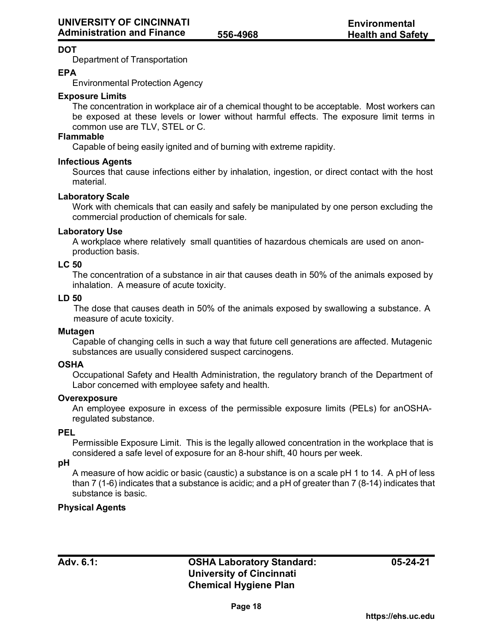# **DOT**

Department of Transportation

#### **EPA**

Environmental Protection Agency

#### **Exposure Limits**

The concentration in workplace air of a chemical thought to be acceptable. Most workers can be exposed at these levels or lower without harmful effects. The exposure limit terms in common use are TLV, STEL or C.

#### **Flammable**

Capable of being easily ignited and of burning with extreme rapidity.

#### **Infectious Agents**

Sources that cause infections either by inhalation, ingestion, or direct contact with the host material.

#### **Laboratory Scale**

Work with chemicals that can easily and safely be manipulated by one person excluding the commercial production of chemicals for sale.

#### **Laboratory Use**

A workplace where relatively small quantities of hazardous chemicals are used on anonproduction basis.

#### **LC 50**

The concentration of a substance in air that causes death in 50% of the animals exposed by inhalation. A measure of acute toxicity.

#### **LD 50**

The dose that causes death in 50% of the animals exposed by swallowing a substance. A measure of acute toxicity.

#### **Mutagen**

Capable of changing cells in such a way that future cell generations are affected. Mutagenic substances are usually considered suspect carcinogens.

#### **OSHA**

Occupational Safety and Health Administration, the regulatory branch of the Department of Labor concerned with employee safety and health.

#### **Overexposure**

An employee exposure in excess of the permissible exposure limits (PELs) for anOSHAregulated substance.

#### **PEL**

Permissible Exposure Limit. This is the legally allowed concentration in the workplace that is considered a safe level of exposure for an 8-hour shift, 40 hours per week.

#### **pH**

A measure of how acidic or basic (caustic) a substance is on a scale pH 1 to 14. A pH of less than 7 (1-6) indicates that a substance is acidic; and a pH of greater than 7 (8-14) indicates that substance is basic.

#### **Physical Agents**

# **Adv. 6.1: OSHA Laboratory Standard: University of Cincinnati Chemical Hygiene Plan**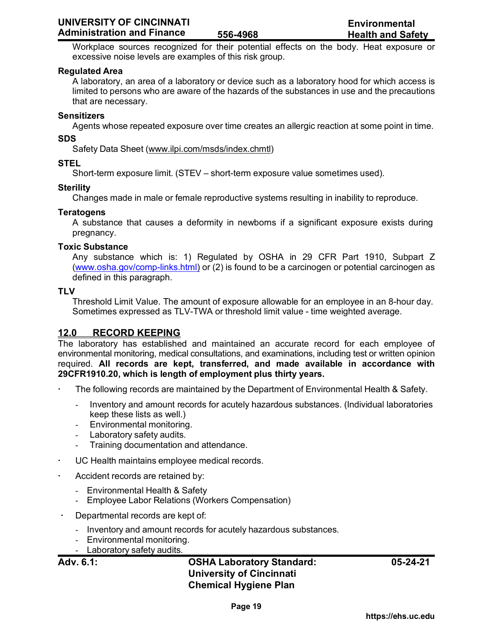Workplace sources recognized for their potential effects on the body. Heat exposure or excessive noise levels are examples of this risk group.

#### **Regulated Area**

A laboratory, an area of a laboratory or device such as a laboratory hood for which access is limited to persons who are aware of the hazards of the substances in use and the precautions that are necessary.

#### **Sensitizers**

Agents whose repeated exposure over time creates an allergic reaction at some point in time.

#### **SDS**

Safety Data Sheet [\(www.ilpi.com/msds/index.chmtl\)](http://www.ilpi.com/msds/index.chmtl))

#### **STEL**

Short-term exposure limit. (STEV – short-term exposure value sometimes used).

#### **Sterility**

Changes made in male or female reproductive systems resulting in inability to reproduce.

#### **Teratogens**

A substance that causes a deformity in newborns if a significant exposure exists during pregnancy.

#### **Toxic Substance**

Any substance which is: 1) Regulated by OSHA in 29 CFR Part 1910, Subpart Z [\(www.osha.gov/comp-links.html\)](http://www.osha.gov/comp-links.html) or (2) is found to be a carcinogen or potential carcinogen as defined in this paragraph.

#### **TLV**

Threshold Limit Value. The amount of exposure allowable for an employee in an 8-hour day. Sometimes expressed as TLV-TWA or threshold limit value - time weighted average.

# **12.0 RECORD KEEPING**

The laboratory has established and maintained an accurate record for each employee of environmental monitoring, medical consultations, and examinations, including test or written opinion required. **All records are kept, transferred, and made available in accordance with 29CFR1910.20, which is length of employment plus thirty years.**

- The following records are maintained by the Department of Environmental Health & Safety.
	- Inventory and amount records for acutely hazardous substances. (Individual laboratories keep these lists as well.)
	- Environmental monitoring.
	- Laboratory safety audits.
	- Training documentation and attendance.
- UC Health maintains employee medical records.
- Accident records are retained by:
	- Environmental Health & Safety
	- Employee Labor Relations (Workers Compensation)
- Departmental records are kept of:
	- Inventory and amount records for acutely hazardous substances.
	- Environmental monitoring.
	- Laboratory safety audits.

# **Adv. 6.1: OSHA Laboratory Standard: University of Cincinnati Chemical Hygiene Plan**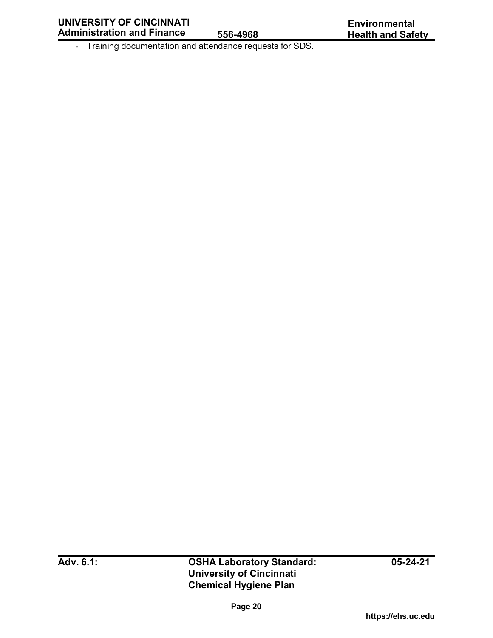- Training documentation and attendance requests for SDS.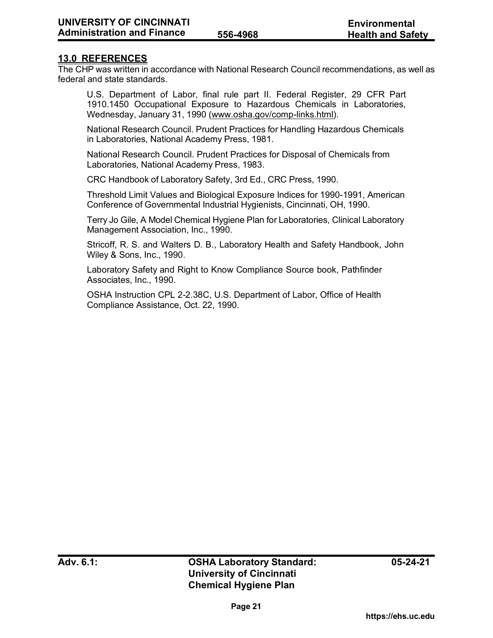### **13.0 REFERENCES**

The CHP was written in accordance with National Research Council recommendations, as well as federal and state standards.

U.S. Department of Labor, final rule part II. Federal Register, 29 CFR Part 1910.1450 Occupational Exposure to Hazardous Chemicals in Laboratories, Wednesday, January 31, 1990 [\(www.osha.gov/comp-links.html\).](http://www.osha.gov/comp-links.html)

National Research Council. Prudent Practices for Handling Hazardous Chemicals in Laboratories, National Academy Press, 1981.

National Research Council. Prudent Practices for Disposal of Chemicals from Laboratories, National Academy Press, 1983.

CRC Handbook of Laboratory Safety, 3rd Ed., CRC Press, 1990.

Threshold Limit Values and Biological Exposure Indices for 1990-1991, American Conference of Governmental Industrial Hygienists, Cincinnati, OH, 1990.

Terry Jo Gile, A Model Chemical Hygiene Plan for Laboratories, Clinical Laboratory Management Association, Inc., 1990.

Stricoff, R. S. and Walters D. B., Laboratory Health and Safety Handbook, John Wiley & Sons, Inc., 1990.

Laboratory Safety and Right to Know Compliance Source book, Pathfinder Associates, Inc., 1990.

OSHA Instruction CPL 2-2.38C, U.S. Department of Labor, Office of Health Compliance Assistance, Oct. 22, 1990.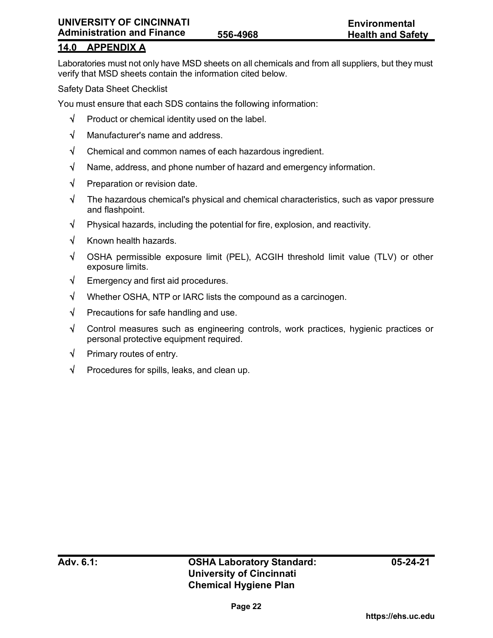# **14.0 APPENDIX A**

Laboratories must not only have MSD sheets on all chemicals and from all suppliers, but they must verify that MSD sheets contain the information cited below.

Safety Data Sheet Checklist

You must ensure that each SDS contains the following information:

- $\sqrt{\phantom{a}}$  Product or chemical identity used on the label.
- √ Manufacturer's name and address.
- √ Chemical and common names of each hazardous ingredient.
- √ Name, address, and phone number of hazard and emergency information.
- √ Preparation or revision date.
- √ The hazardous chemical's physical and chemical characteristics, such as vapor pressure and flashpoint.
- √ Physical hazards, including the potential for fire, explosion, and reactivity.
- √ Known health hazards.
- √ OSHA permissible exposure limit (PEL), ACGIH threshold limit value (TLV) or other exposure limits.
- √ Emergency and first aid procedures.
- √ Whether OSHA, NTP or IARC lists the compound as a carcinogen.
- $\sqrt{\phantom{a}}$  Precautions for safe handling and use.
- √ Control measures such as engineering controls, work practices, hygienic practices or personal protective equipment required.
- √ Primary routes of entry.
- √ Procedures for spills, leaks, and clean up.